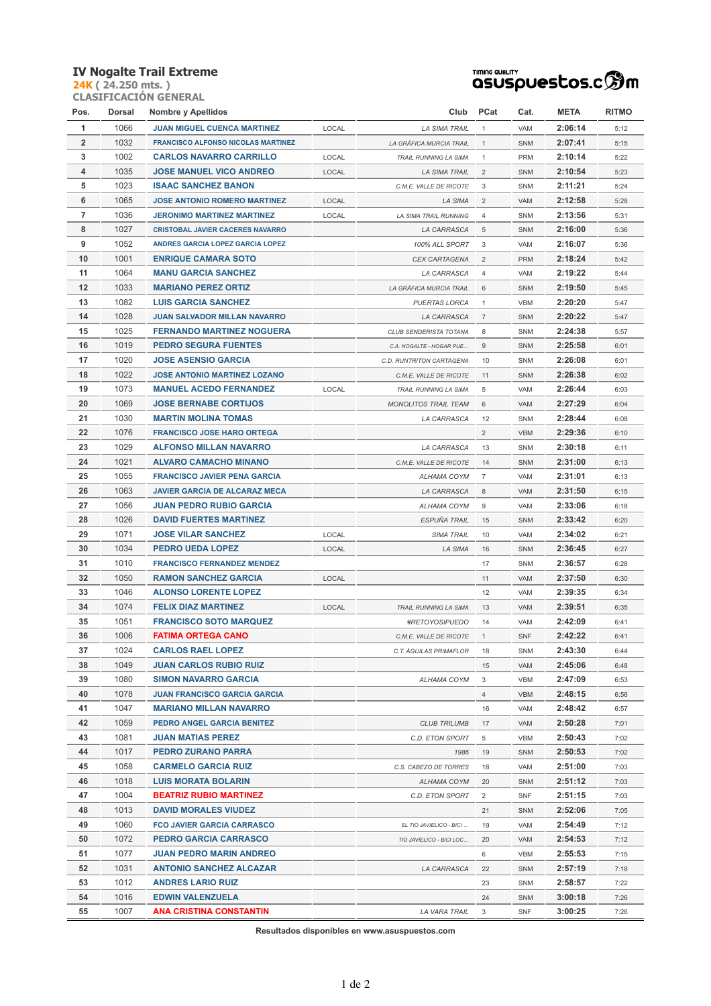## **IV Nogalte Trail Extreme**

**24K ( 24.250 mts. ) CLASIFICACIÓN GENERAL**



| Pos.           | Dorsal | <b>Nombre y Apellidos</b>                 |       | Club                     | PCat           | Cat.       | <b>META</b> | <b>RITMO</b> |
|----------------|--------|-------------------------------------------|-------|--------------------------|----------------|------------|-------------|--------------|
| 1              | 1066   | <b>JUAN MIGUEL CUENCA MARTINEZ</b>        | LOCAL | LA SIMA TRAIL            | $\mathbf{1}$   | VAM        | 2:06:14     | 5:12         |
| $\overline{2}$ | 1032   | <b>FRANCISCO ALFONSO NICOLAS MARTINEZ</b> |       | LA GRÁFICA MURCIA TRAIL  | $\mathbf{1}$   | SNM        | 2:07:41     | 5:15         |
| 3              | 1002   | <b>CARLOS NAVARRO CARRILLO</b>            | LOCAL | TRAIL RUNNING LA SIMA    | $\mathbf{1}$   | <b>PRM</b> | 2:10:14     | 5:22         |
| 4              | 1035   | <b>JOSE MANUEL VICO ANDREO</b>            | LOCAL | LA SIMA TRAIL            | $\overline{2}$ | <b>SNM</b> | 2:10:54     | 5:23         |
| 5              | 1023   | <b>ISAAC SANCHEZ BANON</b>                |       | C.M.E. VALLE DE RICOTE   | 3              | SNM        | 2:11:21     | 5:24         |
| 6              | 1065   | <b>JOSE ANTONIO ROMERO MARTINEZ</b>       | LOCAL | LA SIMA                  | $\overline{2}$ | VAM        | 2:12:58     | 5:28         |
| 7              | 1036   | <b>JERONIMO MARTINEZ MARTINEZ</b>         | LOCAL | LA SIMA TRAIL RUNNING    | $\overline{4}$ | SNM        | 2:13:56     | 5:31         |
| 8              | 1027   | <b>CRISTOBAL JAVIER CACERES NAVARRO</b>   |       | LA CARRASCA              | 5              | SNM        | 2:16:00     | 5:36         |
| 9              | 1052   | ANDRES GARCIA LOPEZ GARCIA LOPEZ          |       | 100% ALL SPORT           | 3              | VAM        | 2:16:07     | 5:36         |
| 10             | 1001   | <b>ENRIQUE CAMARA SOTO</b>                |       | CEX CARTAGENA            | $\overline{2}$ | <b>PRM</b> | 2:18:24     | 5:42         |
| 11             | 1064   | <b>MANU GARCIA SANCHEZ</b>                |       | LA CARRASCA              | 4              | VAM        | 2:19:22     | 5:44         |
| 12             | 1033   | <b>MARIANO PEREZ ORTIZ</b>                |       | LA GRÁFICA MURCIA TRAIL  | 6              | <b>SNM</b> | 2:19:50     | 5:45         |
| 13             | 1082   | <b>LUIS GARCIA SANCHEZ</b>                |       | PUERTAS LORCA            | $\mathbf{1}$   | <b>VBM</b> | 2:20:20     | 5:47         |
| 14             | 1028   | <b>JUAN SALVADOR MILLAN NAVARRO</b>       |       | LA CARRASCA              | $\overline{7}$ | <b>SNM</b> | 2:20:22     | 5:47         |
| 15             | 1025   | FERNANDO MARTINEZ NOGUERA                 |       | CLUB SENDERISTA TOTANA   | 8              | SNM        | 2:24:38     | 5:57         |
| 16             | 1019   | <b>PEDRO SEGURA FUENTES</b>               |       | C.A. NOGALTE - HOGAR PUE | 9              | <b>SNM</b> | 2:25:58     | 6:01         |
| 17             | 1020   | <b>JOSE ASENSIO GARCIA</b>                |       | C.D. RUNTRITON CARTAGENA | 10             | SNM        | 2:26:08     | 6:01         |
| 18             | 1022   | <b>JOSE ANTONIO MARTINEZ LOZANO</b>       |       | C.M.E. VALLE DE RICOTE   | 11             | SNM        | 2:26:38     | 6:02         |
| 19             | 1073   | <b>MANUEL ACEDO FERNANDEZ</b>             | LOCAL | TRAIL RUNNING LA SIMA    | 5              | VAM        | 2:26:44     | 6:03         |
| 20             | 1069   | <b>JOSE BERNABE CORTIJOS</b>              |       | MONOLITOS TRAIL TEAM     | 6              | VAM        | 2:27:29     | 6:04         |
| 21             | 1030   | <b>MARTIN MOLINA TOMAS</b>                |       | LA CARRASCA              | 12             | SNM        | 2:28:44     | 6:08         |
| 22             | 1076   | <b>FRANCISCO JOSE HARO ORTEGA</b>         |       |                          | $\overline{2}$ | <b>VBM</b> | 2:29:36     | 6:10         |
| 23             | 1029   | <b>ALFONSO MILLAN NAVARRO</b>             |       | LA CARRASCA              | 13             | SNM        | 2:30:18     | 6:11         |
| 24             | 1021   | <b>ALVARO CAMACHO MINANO</b>              |       | C.M.E. VALLE DE RICOTE   | 14             | <b>SNM</b> | 2:31:00     | 6:13         |
| 25             | 1055   | <b>FRANCISCO JAVIER PENA GARCIA</b>       |       | ALHAMA COYM              | $\overline{7}$ | VAM        | 2:31:01     | 6:13         |
| 26             | 1063   | <b>JAVIER GARCIA DE ALCARAZ MECA</b>      |       | LA CARRASCA              | 8              | VAM        | 2:31:50     | 6:15         |
| 27             | 1056   | <b>JUAN PEDRO RUBIO GARCIA</b>            |       | ALHAMA COYM              | 9              | VAM        | 2:33:06     | 6:18         |
| 28             | 1026   | <b>DAVID FUERTES MARTINEZ</b>             |       | ESPUÑA TRAIL             | 15             | SNM        | 2:33:42     | 6:20         |
| 29             | 1071   | <b>JOSE VILAR SANCHEZ</b>                 | LOCAL | SIMA TRAIL               | 10             | VAM        | 2:34:02     | 6:21         |
| 30             | 1034   | PEDRO UEDA LOPEZ                          | LOCAL | LA SIMA                  | 16             | SNM        | 2:36:45     | 6:27         |
| 31             | 1010   | <b>FRANCISCO FERNANDEZ MENDEZ</b>         |       |                          | 17             | SNM        | 2:36:57     | 6:28         |
| 32             | 1050   | <b>RAMON SANCHEZ GARCIA</b>               | LOCAL |                          | 11             | VAM        | 2:37:50     | 6:30         |
| 33             | 1046   | <b>ALONSO LORENTE LOPEZ</b>               |       |                          | 12             | VAM        | 2:39:35     | 6:34         |
| 34             | 1074   | <b>FELIX DIAZ MARTINEZ</b>                | LOCAL | TRAIL RUNNING LA SIMA    | 13             | VAM        | 2:39:51     | 6:35         |
| 35             | 1051   | <b>FRANCISCO SOTO MARQUEZ</b>             |       | #RETOYOSIPUEDO           | 14             | VAM        | 2:42:09     | 6:41         |
| 36             | 1006   | <b>FATIMA ORTEGA CANO</b>                 |       | C.M.E. VALLE DE RICOTE   | $\mathbf{1}$   | SNF        | 2:42:22     | 6:41         |
| 37             | 1024   | <b>CARLOS RAEL LOPEZ</b>                  |       | C.T. ÁGUILAS PRIMAFLOR   | 18             | SNM        | 2:43:30     | 6:44         |
| 38             | 1049   | <b>JUAN CARLOS RUBIO RUIZ</b>             |       |                          | 15             | VAM        | 2:45:06     | 6:48         |
| 39             | 1080   | <b>SIMON NAVARRO GARCIA</b>               |       | ALHAMA COYM              | 3              | VBM        | 2:47:09     | 6:53         |
| 40             | 1078   | JUAN FRANCISCO GARCIA GARCIA              |       |                          | $\overline{4}$ | VBM        | 2:48:15     | 6:56         |
| 41             | 1047   | <b>MARIANO MILLAN NAVARRO</b>             |       |                          | 16             | VAM        | 2:48:42     | 6:57         |
| 42             | 1059   | PEDRO ANGEL GARCIA BENITEZ                |       | <b>CLUB TRILUMB</b>      | 17             | VAM        | 2:50:28     | 7:01         |
| 43             | 1081   | <b>JUAN MATIAS PEREZ</b>                  |       | C.D. ETON SPORT          | 5              | VBM        | 2:50:43     | 7:02         |
| 44             | 1017   | PEDRO ZURANO PARRA                        |       | 1986                     | 19             | <b>SNM</b> | 2:50:53     | 7:02         |
| 45             | 1058   | <b>CARMELO GARCIA RUIZ</b>                |       | C.S. CABEZO DE TORRES    | 18             | VAM        | 2:51:00     | 7:03         |
| 46             | 1018   | <b>LUIS MORATA BOLARIN</b>                |       | ALHAMA COYM              | 20             | SNM        | 2:51:12     | 7:03         |
| 47             | 1004   | <b>BEATRIZ RUBIO MARTINEZ</b>             |       | C.D. ETON SPORT          | $\overline{2}$ | SNF        | 2:51:15     | 7:03         |
| 48             | 1013   | <b>DAVID MORALES VIUDEZ</b>               |       |                          | 21             | <b>SNM</b> | 2:52:06     | 7:05         |
| 49             | 1060   | <b>FCO JAVIER GARCIA CARRASCO</b>         |       | EL TIO JAVIELICO - BICI  | 19             | VAM        | 2:54:49     | 7:12         |
| 50             | 1072   | <b>PEDRO GARCIA CARRASCO</b>              |       | TIO JAVIELICO - BICI LOC | 20             | VAM        | 2:54:53     | 7:12         |
| 51             | 1077   | JUAN PEDRO MARIN ANDREO                   |       |                          | 6              | VBM        | 2:55:53     | 7:15         |
| 52             | 1031   | <b>ANTONIO SANCHEZ ALCAZAR</b>            |       | LA CARRASCA              | 22             | SNM        | 2:57:19     | 7:18         |
| 53             | 1012   | <b>ANDRES LARIO RUIZ</b>                  |       |                          | 23             | SNM        | 2:58:57     | 7:22         |
| 54             | 1016   | <b>EDWIN VALENZUELA</b>                   |       |                          | 24             | SNM        | 3:00:18     | 7:26         |
| 55             | 1007   | <b>ANA CRISTINA CONSTANTIN</b>            |       | LA VARA TRAIL            | 3              | SNF        | 3:00:25     | 7:26         |

**Resultados disponibles en www.asuspuestos.com**